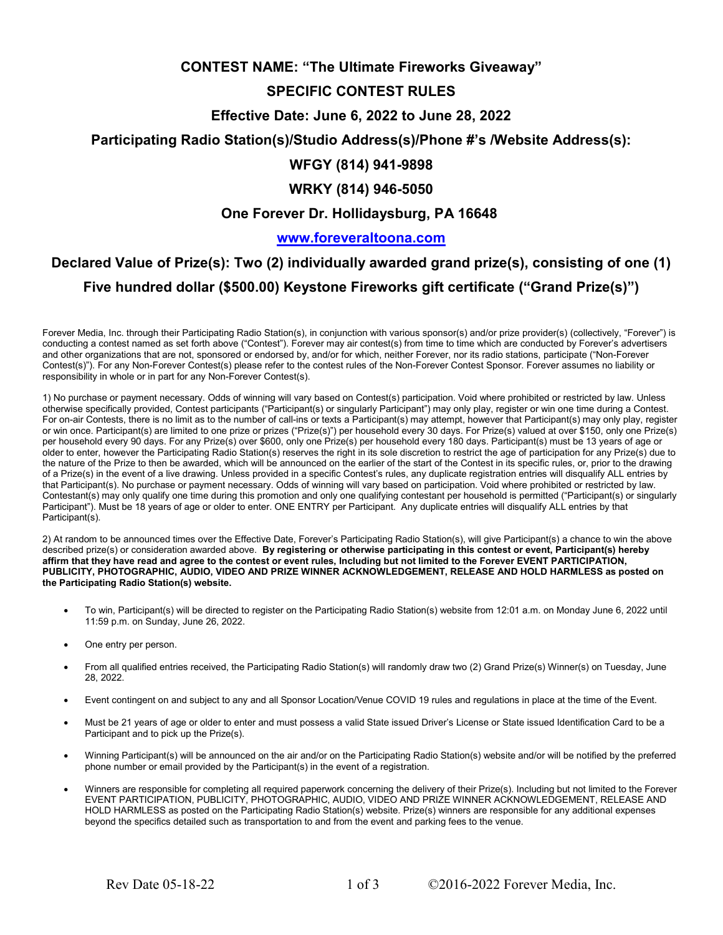## **CONTEST NAME: "The Ultimate Fireworks Giveaway"**

## **SPECIFIC CONTEST RULES**

#### **Effective Date: June 6, 2022 to June 28, 2022**

#### **Participating Radio Station(s)/Studio Address(s)/Phone #'s /Website Address(s):**

## **WFGY (814) 941-9898**

## **WRKY (814) 946-5050**

## **One Forever Dr. Hollidaysburg, PA 16648**

### **www.foreveraltoona.com**

# **Declared Value of Prize(s): Two (2) individually awarded grand prize(s), consisting of one (1) Five hundred dollar (\$500.00) Keystone Fireworks gift certificate ("Grand Prize(s)")**

Forever Media, Inc. through their Participating Radio Station(s), in conjunction with various sponsor(s) and/or prize provider(s) (collectively, "Forever") is conducting a contest named as set forth above ("Contest"). Forever may air contest(s) from time to time which are conducted by Forever's advertisers and other organizations that are not, sponsored or endorsed by, and/or for which, neither Forever, nor its radio stations, participate ("Non-Forever Contest(s)"). For any Non-Forever Contest(s) please refer to the contest rules of the Non-Forever Contest Sponsor. Forever assumes no liability or responsibility in whole or in part for any Non-Forever Contest(s).

1) No purchase or payment necessary. Odds of winning will vary based on Contest(s) participation. Void where prohibited or restricted by law. Unless otherwise specifically provided, Contest participants ("Participant(s) or singularly Participant") may only play, register or win one time during a Contest. For on-air Contests, there is no limit as to the number of call-ins or texts a Participant(s) may attempt, however that Participant(s) may only play, register or win once. Participant(s) are limited to one prize or prizes ("Prize(s)") per household every 30 days. For Prize(s) valued at over \$150, only one Prize(s) per household every 90 days. For any Prize(s) over \$600, only one Prize(s) per household every 180 days. Participant(s) must be 13 years of age or older to enter, however the Participating Radio Station(s) reserves the right in its sole discretion to restrict the age of participation for any Prize(s) due to the nature of the Prize to then be awarded, which will be announced on the earlier of the start of the Contest in its specific rules, or, prior to the drawing of a Prize(s) in the event of a live drawing. Unless provided in a specific Contest's rules, any duplicate registration entries will disqualify ALL entries by that Participant(s). No purchase or payment necessary. Odds of winning will vary based on participation. Void where prohibited or restricted by law. Contestant(s) may only qualify one time during this promotion and only one qualifying contestant per household is permitted ("Participant(s) or singularly Participant"). Must be 18 years of age or older to enter. ONE ENTRY per Participant. Any duplicate entries will disqualify ALL entries by that Participant(s).

2) At random to be announced times over the Effective Date, Forever's Participating Radio Station(s), will give Participant(s) a chance to win the above described prize(s) or consideration awarded above. **By registering or otherwise participating in this contest or event, Participant(s) hereby affirm that they have read and agree to the contest or event rules, Including but not limited to the Forever EVENT PARTICIPATION, PUBLICITY, PHOTOGRAPHIC, AUDIO, VIDEO AND PRIZE WINNER ACKNOWLEDGEMENT, RELEASE AND HOLD HARMLESS as posted on the Participating Radio Station(s) website.** 

- To win, Participant(s) will be directed to register on the Participating Radio Station(s) website from 12:01 a.m. on Monday June 6, 2022 until 11:59 p.m. on Sunday, June 26, 2022.
- One entry per person.
- From all qualified entries received, the Participating Radio Station(s) will randomly draw two (2) Grand Prize(s) Winner(s) on Tuesday, June 28, 2022.
- Event contingent on and subject to any and all Sponsor Location/Venue COVID 19 rules and regulations in place at the time of the Event.
- Must be 21 years of age or older to enter and must possess a valid State issued Driver's License or State issued Identification Card to be a Participant and to pick up the Prize(s).
- Winning Participant(s) will be announced on the air and/or on the Participating Radio Station(s) website and/or will be notified by the preferred phone number or email provided by the Participant(s) in the event of a registration.
- Winners are responsible for completing all required paperwork concerning the delivery of their Prize(s). Including but not limited to the Forever EVENT PARTICIPATION, PUBLICITY, PHOTOGRAPHIC, AUDIO, VIDEO AND PRIZE WINNER ACKNOWLEDGEMENT, RELEASE AND HOLD HARMLESS as posted on the Participating Radio Station(s) website. Prize(s) winners are responsible for any additional expenses beyond the specifics detailed such as transportation to and from the event and parking fees to the venue.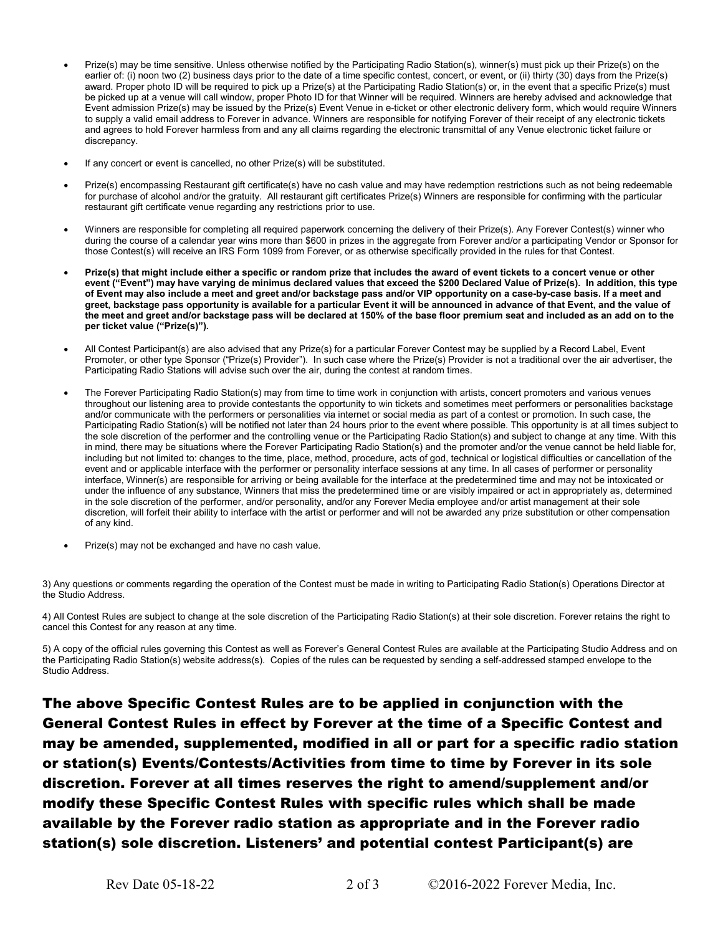- Prize(s) may be time sensitive. Unless otherwise notified by the Participating Radio Station(s), winner(s) must pick up their Prize(s) on the earlier of: (i) noon two (2) business days prior to the date of a time specific contest, concert, or event, or (ii) thirty (30) days from the Prize(s) award. Proper photo ID will be required to pick up a Prize(s) at the Participating Radio Station(s) or, in the event that a specific Prize(s) must be picked up at a venue will call window, proper Photo ID for that Winner will be required. Winners are hereby advised and acknowledge that Event admission Prize(s) may be issued by the Prize(s) Event Venue in e-ticket or other electronic delivery form, which would require Winners to supply a valid email address to Forever in advance. Winners are responsible for notifying Forever of their receipt of any electronic tickets and agrees to hold Forever harmless from and any all claims regarding the electronic transmittal of any Venue electronic ticket failure or discrepancy.
- If any concert or event is cancelled, no other Prize(s) will be substituted.
- Prize(s) encompassing Restaurant gift certificate(s) have no cash value and may have redemption restrictions such as not being redeemable for purchase of alcohol and/or the gratuity. All restaurant gift certificates Prize(s) Winners are responsible for confirming with the particular restaurant gift certificate venue regarding any restrictions prior to use.
- Winners are responsible for completing all required paperwork concerning the delivery of their Prize(s). Any Forever Contest(s) winner who during the course of a calendar year wins more than \$600 in prizes in the aggregate from Forever and/or a participating Vendor or Sponsor for those Contest(s) will receive an IRS Form 1099 from Forever, or as otherwise specifically provided in the rules for that Contest.
- **Prize(s) that might include either a specific or random prize that includes the award of event tickets to a concert venue or other event ("Event") may have varying de minimus declared values that exceed the \$200 Declared Value of Prize(s). In addition, this type of Event may also include a meet and greet and/or backstage pass and/or VIP opportunity on a case-by-case basis. If a meet and greet, backstage pass opportunity is available for a particular Event it will be announced in advance of that Event, and the value of the meet and greet and/or backstage pass will be declared at 150% of the base floor premium seat and included as an add on to the per ticket value ("Prize(s)").**
- All Contest Participant(s) are also advised that any Prize(s) for a particular Forever Contest may be supplied by a Record Label, Event Promoter, or other type Sponsor ("Prize(s) Provider"). In such case where the Prize(s) Provider is not a traditional over the air advertiser, the Participating Radio Stations will advise such over the air, during the contest at random times.
- The Forever Participating Radio Station(s) may from time to time work in conjunction with artists, concert promoters and various venues throughout our listening area to provide contestants the opportunity to win tickets and sometimes meet performers or personalities backstage and/or communicate with the performers or personalities via internet or social media as part of a contest or promotion. In such case, the Participating Radio Station(s) will be notified not later than 24 hours prior to the event where possible. This opportunity is at all times subject to the sole discretion of the performer and the controlling venue or the Participating Radio Station(s) and subject to change at any time. With this in mind, there may be situations where the Forever Participating Radio Station(s) and the promoter and/or the venue cannot be held liable for, including but not limited to: changes to the time, place, method, procedure, acts of god, technical or logistical difficulties or cancellation of the event and or applicable interface with the performer or personality interface sessions at any time. In all cases of performer or personality interface, Winner(s) are responsible for arriving or being available for the interface at the predetermined time and may not be intoxicated or under the influence of any substance, Winners that miss the predetermined time or are visibly impaired or act in appropriately as, determined in the sole discretion of the performer, and/or personality, and/or any Forever Media employee and/or artist management at their sole discretion, will forfeit their ability to interface with the artist or performer and will not be awarded any prize substitution or other compensation of any kind.
- Prize(s) may not be exchanged and have no cash value.

3) Any questions or comments regarding the operation of the Contest must be made in writing to Participating Radio Station(s) Operations Director at the Studio Address.

4) All Contest Rules are subject to change at the sole discretion of the Participating Radio Station(s) at their sole discretion. Forever retains the right to cancel this Contest for any reason at any time.

5) A copy of the official rules governing this Contest as well as Forever's General Contest Rules are available at the Participating Studio Address and on the Participating Radio Station(s) website address(s). Copies of the rules can be requested by sending a self-addressed stamped envelope to the Studio Address.

The above Specific Contest Rules are to be applied in conjunction with the General Contest Rules in effect by Forever at the time of a Specific Contest and may be amended, supplemented, modified in all or part for a specific radio station or station(s) Events/Contests/Activities from time to time by Forever in its sole discretion. Forever at all times reserves the right to amend/supplement and/or modify these Specific Contest Rules with specific rules which shall be made available by the Forever radio station as appropriate and in the Forever radio station(s) sole discretion. Listeners' and potential contest Participant(s) are